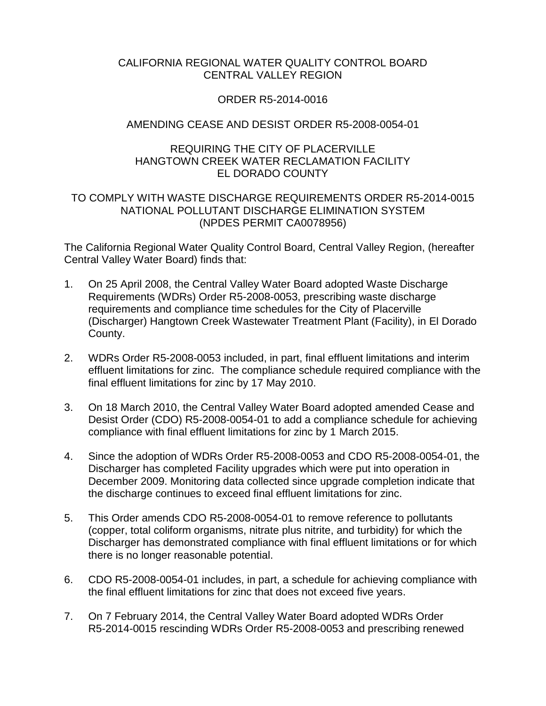#### CALIFORNIA REGIONAL WATER QUALITY CONTROL BOARD CENTRAL VALLEY REGION

#### ORDER R5-2014-0016

## AMENDING CEASE AND DESIST ORDER R5-2008-0054-01

#### REQUIRING THE CITY OF PLACERVILLE HANGTOWN CREEK WATER RECLAMATION FACILITY EL DORADO COUNTY

## TO COMPLY WITH WASTE DISCHARGE REQUIREMENTS ORDER R5-2014-0015 NATIONAL POLLUTANT DISCHARGE ELIMINATION SYSTEM (NPDES PERMIT CA0078956)

The California Regional Water Quality Control Board, Central Valley Region, (hereafter Central Valley Water Board) finds that:

- 1. On 25 April 2008, the Central Valley Water Board adopted Waste Discharge Requirements (WDRs) Order R5-2008-0053, prescribing waste discharge requirements and compliance time schedules for the City of Placerville (Discharger) Hangtown Creek Wastewater Treatment Plant (Facility), in El Dorado County.
- 2. WDRs Order R5-2008-0053 included, in part, final effluent limitations and interim effluent limitations for zinc. The compliance schedule required compliance with the final effluent limitations for zinc by 17 May 2010.
- 3. On 18 March 2010, the Central Valley Water Board adopted amended Cease and Desist Order (CDO) R5-2008-0054-01 to add a compliance schedule for achieving compliance with final effluent limitations for zinc by 1 March 2015.
- 4. Since the adoption of WDRs Order R5-2008-0053 and CDO R5-2008-0054-01, the Discharger has completed Facility upgrades which were put into operation in December 2009. Monitoring data collected since upgrade completion indicate that the discharge continues to exceed final effluent limitations for zinc.
- 5. This Order amends CDO R5-2008-0054-01 to remove reference to pollutants (copper, total coliform organisms, nitrate plus nitrite, and turbidity) for which the Discharger has demonstrated compliance with final effluent limitations or for which there is no longer reasonable potential.
- 6. CDO R5-2008-0054-01 includes, in part, a schedule for achieving compliance with the final effluent limitations for zinc that does not exceed five years.
- 7. On 7 February 2014, the Central Valley Water Board adopted WDRs Order R5-2014-0015 rescinding WDRs Order R5-2008-0053 and prescribing renewed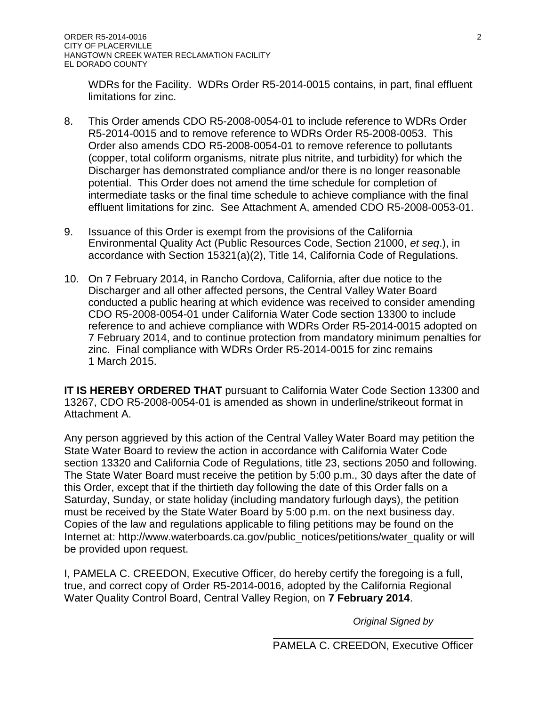WDRs for the Facility. WDRs Order R5-2014-0015 contains, in part, final effluent limitations for zinc.

- 8. This Order amends CDO R5-2008-0054-01 to include reference to WDRs Order R5-2014-0015 and to remove reference to WDRs Order R5-2008-0053. This Order also amends CDO R5-2008-0054-01 to remove reference to pollutants (copper, total coliform organisms, nitrate plus nitrite, and turbidity) for which the Discharger has demonstrated compliance and/or there is no longer reasonable potential. This Order does not amend the time schedule for completion of intermediate tasks or the final time schedule to achieve compliance with the final effluent limitations for zinc. See Attachment A, amended CDO R5-2008-0053-01.
- 9. Issuance of this Order is exempt from the provisions of the California Environmental Quality Act (Public Resources Code, Section 21000, *et seq*.), in accordance with Section 15321(a)(2), Title 14, California Code of Regulations.
- 10. On 7 February 2014, in Rancho Cordova, California, after due notice to the Discharger and all other affected persons, the Central Valley Water Board conducted a public hearing at which evidence was received to consider amending CDO R5-2008-0054-01 under California Water Code section 13300 to include reference to and achieve compliance with WDRs Order R5-2014-0015 adopted on 7 February 2014, and to continue protection from mandatory minimum penalties for zinc. Final compliance with WDRs Order R5-2014-0015 for zinc remains 1 March 2015.

**IT IS HEREBY ORDERED THAT** pursuant to California Water Code Section 13300 and 13267, CDO R5-2008-0054-01 is amended as shown in underline/strikeout format in Attachment A.

Any person aggrieved by this action of the Central Valley Water Board may petition the State Water Board to review the action in accordance with California Water Code section 13320 and California Code of Regulations, title 23, sections 2050 and following. The State Water Board must receive the petition by 5:00 p.m., 30 days after the date of this Order, except that if the thirtieth day following the date of this Order falls on a Saturday, Sunday, or state holiday (including mandatory furlough days), the petition must be received by the State Water Board by 5:00 p.m. on the next business day. Copies of the law and regulations applicable to filing petitions may be found on the Internet at: [http://www.waterboards.ca.gov/public\\_notices/petitions/water\\_quality](http://www.waterboards.ca.gov/public_notices/petitions/water_quality) or will be provided upon request.

I, PAMELA C. CREEDON, Executive Officer, do hereby certify the foregoing is a full, true, and correct copy of Order R5-2014-0016, adopted by the California Regional Water Quality Control Board, Central Valley Region, on **7 February 2014**.

*Original Signed by*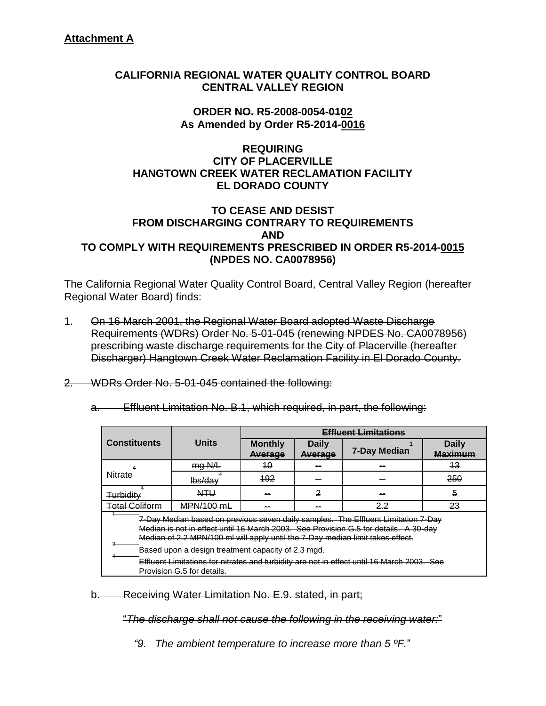## **CALIFORNIA REGIONAL WATER QUALITY CONTROL BOARD CENTRAL VALLEY REGION**

## **ORDER NO. R5-2008-0054-0102 As Amended by Order R5-2014-0016**

## **REQUIRING CITY OF PLACERVILLE HANGTOWN CREEK WATER RECLAMATION FACILITY EL DORADO COUNTY**

#### **TO CEASE AND DESIST FROM DISCHARGING CONTRARY TO REQUIREMENTS AND TO COMPLY WITH REQUIREMENTS PRESCRIBED IN ORDER R5-2014-0015 (NPDES NO. CA0078956)**

The California Regional Water Quality Control Board, Central Valley Region (hereafter Regional Water Board) finds:

- 1. On 16 March 2001, the Regional Water Board adopted Waste Discharge Requirements (WDRs) Order No. 5-01-045 (renewing NPDES No. CA0078956) prescribing waste discharge requirements for the City of Placerville (hereafter Discharger) Hangtown Creek Water Reclamation Facility in El Dorado County.
- 2. WDRs Order No. 5-01-045 contained the following:
	- a. Effluent Limitation No. B.1, which required, in part, the following:

|                                                                                                                                                                                                                                                             |                                                                                                                          |                           |                                | <b>Effluent Limitations</b> |                                |  |  |
|-------------------------------------------------------------------------------------------------------------------------------------------------------------------------------------------------------------------------------------------------------------|--------------------------------------------------------------------------------------------------------------------------|---------------------------|--------------------------------|-----------------------------|--------------------------------|--|--|
| Constituents                                                                                                                                                                                                                                                | Units                                                                                                                    | <b>Monthly</b><br>Average | <b>Daily</b><br><b>Average</b> | 7-Day Median                | <b>Daily</b><br><b>Maximum</b> |  |  |
|                                                                                                                                                                                                                                                             | mgN/L                                                                                                                    | 40                        |                                |                             | 43                             |  |  |
| <b>Nitrate</b>                                                                                                                                                                                                                                              | $\frac{1}{1}$ bs/dav                                                                                                     | 492                       |                                |                             | 250                            |  |  |
| Turbidity                                                                                                                                                                                                                                                   | <b>NTU</b>                                                                                                               | --                        | 2                              | --                          | 5                              |  |  |
| <b>Total Coliform</b>                                                                                                                                                                                                                                       | MPN/100 mL                                                                                                               | --                        | --                             | 23<br>22                    |                                |  |  |
| 7-Day Median based on previous seven daily samples. The Effluent Limitation 7-Day<br>Median is not in effect until 16 March 2003. See Provision G.5 for details. A 30-day<br>Median of 2.2 MPN/100 ml will apply until the 7-Day median limit takes effect. |                                                                                                                          |                           |                                |                             |                                |  |  |
|                                                                                                                                                                                                                                                             | Based upon a design treatment capacity of 2.3 mgd.                                                                       |                           |                                |                             |                                |  |  |
|                                                                                                                                                                                                                                                             | Effluent Limitations for nitrates and turbidity are not in effect until 16 March 2003. See<br>Provision G.5 for details. |                           |                                |                             |                                |  |  |

b. Receiving Water Limitation No. E.9. stated, in part;

"*The discharge shall not cause the following in the receiving water:*"

*"9. The ambient temperature to increase more than 5 ºF.*"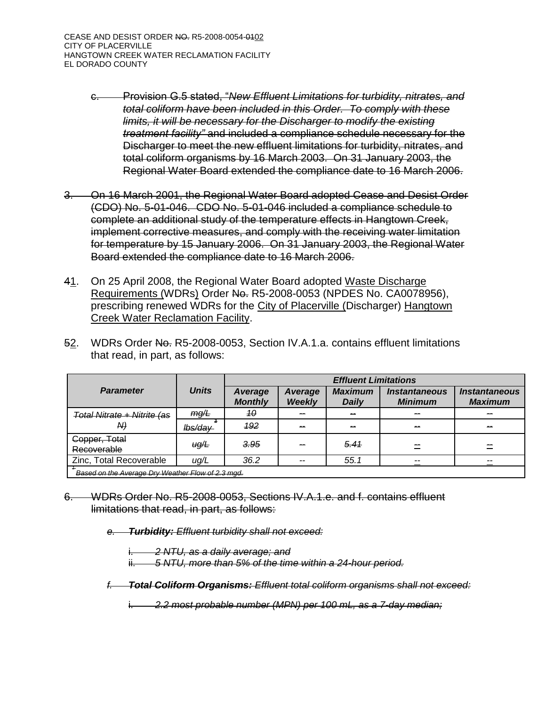CEASE AND DESIST ORDER NO. R5-2008-0054-0102 CITY OF PLACERVILLE HANGTOWN CREEK WATER RECLAMATION FACILITY EL DORADO COUNTY

- c. Provision G.5 stated, "*New Effluent Limitations for turbidity, nitrates, and total coliform have been included in this Order. To comply with these limits, it will be necessary for the Discharger to modify the existing treatment facility"* and included a compliance schedule necessary for the Discharger to meet the new effluent limitations for turbidity, nitrates, and total coliform organisms by 16 March 2003. On 31 January 2003, the Regional Water Board extended the compliance date to 16 March 2006.
- 3. On 16 March 2001, the Regional Water Board adopted Cease and Desist Order (CDO) No. 5-01-046. CDO No. 5-01-046 included a compliance schedule to complete an additional study of the temperature effects in Hangtown Creek, implement corrective measures, and comply with the receiving water limitation for temperature by 15 January 2006. On 31 January 2003, the Regional Water Board extended the compliance date to 16 March 2006.
- 41. On 25 April 2008, the Regional Water Board adopted Waste Discharge Requirements (WDRs) Order No. R5-2008-0053 (NPDES No. CA0078956), prescribing renewed WDRs for the City of Placerville (Discharger) Hangtown Creek Water Reclamation Facility.
- 52. WDRs Order No. R5-2008-0053, Section IV.A.1.a. contains effluent limitations that read, in part, as follows:

|                                                   |              | <b>Effluent Limitations</b> |                          |                                |                                               |                                        |  |
|---------------------------------------------------|--------------|-----------------------------|--------------------------|--------------------------------|-----------------------------------------------|----------------------------------------|--|
| <b>Parameter</b>                                  | <b>Units</b> | Average<br><b>Monthly</b>   | Average<br><b>Weekly</b> | <b>Maximum</b><br><b>Daily</b> | <i><b>Instantaneous</b></i><br><b>Minimum</b> | <b>Instantaneous</b><br><b>Maximum</b> |  |
| <del>Total Nitrate + Nitrite (as</del><br>A4      | mg/L         | 40                          | --                       | --                             |                                               |                                        |  |
|                                                   | lbs/day      | $-192$                      | --                       | --                             |                                               | --                                     |  |
| Copper, Total<br>Recoverable                      | uq/L         | 3.95                        | --                       | 5.41                           |                                               |                                        |  |
| Zinc, Total Recoverable                           | ug/L         | 36.2                        | --                       | 55.1                           | --                                            |                                        |  |
| Based on the Average Dry Weather Flow of 2.3 mgd. |              |                             |                          |                                |                                               |                                        |  |

6. WDRs Order No. R5-2008-0053, Sections IV.A.1.e. and f. contains effluent limitations that read, in part, as follows:

*e. Turbidity: Effluent turbidity shall not exceed:*

i. *2 NTU, as a daily average; and* ii. *5 NTU, more than 5% of the time within a 24-hour period.*

*f. Total Coliform Organisms: Effluent total coliform organisms shall not exceed:*

i. *2.2 most probable number (MPN) per 100 mL, as a 7-day median;*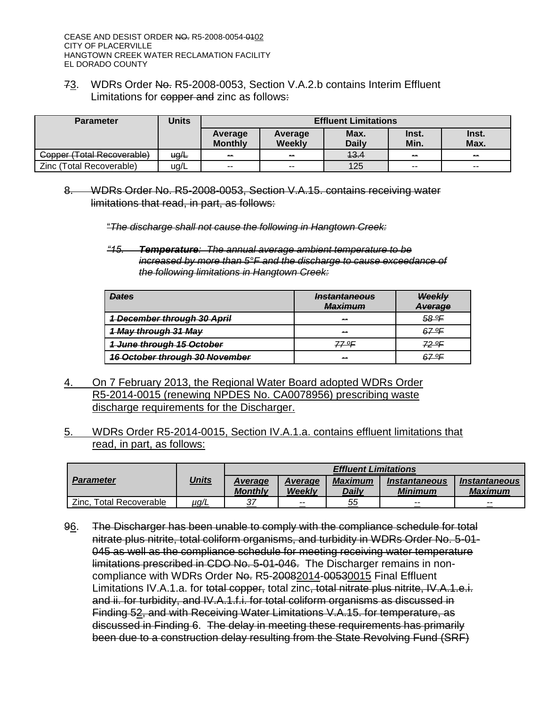73. WDRs Order No. R5-2008-0053, Section V.A.2.b contains Interim Effluent Limitations for copper and zinc as follows:

| <b>Parameter</b>           | Units                                      |                           |                   | <b>Effluent Limitations</b> |                |               |
|----------------------------|--------------------------------------------|---------------------------|-------------------|-----------------------------|----------------|---------------|
|                            |                                            | Average<br><b>Monthly</b> | Average<br>Weekly | Max.<br><b>Daily</b>        | Inst.<br>Min.  | Inst.<br>Max. |
| Copper (Total Recoverable) | $\mathsf{u}\mathsf{g}\mathsf{A}\mathsf{L}$ | $\sim$                    | $\sim$            | 43.4                        | $\sim$         | $\sim$        |
| Zinc (Total Recoverable)   | ug/L                                       | $- -$                     | $\sim$ $\sim$     | 125                         | $\overline{a}$ | --            |

8. WDRs Order No. R5-2008-0053, Section V.A.15. contains receiving water limitations that read, in part, as follows:

"*The discharge shall not cause the following in Hangtown Creek:*

*"15. Temperature: The annual average ambient temperature to be increased by more than 5°F and the discharge to cause exceedance of the following limitations in Hangtown Creek:*

| <b>Dates</b>                          | <i><u><b>Instantaneous</b></u></i><br><u>Maximum</u> | Weekly<br><b>Average</b> |
|---------------------------------------|------------------------------------------------------|--------------------------|
| <b>1 December through 30 April</b>    | --                                                   | <u>58 ºF</u>             |
| 1 May through 31 May                  | --                                                   | 67.ºE                    |
| 1 June through 15 October             | <u> 77.0F</u>                                        | <u>72 OF</u>             |
| <b>16 October through 30 November</b> | --                                                   | 67 OE                    |

- 4. On 7 February 2013, the Regional Water Board adopted WDRs Order R5-2014-0015 (renewing NPDES No. CA0078956) prescribing waste discharge requirements for the Discharger.
- 5. WDRs Order R5-2014-0015, Section IV.A.1.a. contains effluent limitations that read, in part, as follows:

|                                   |              | <b>Effluent Limitations</b> |                   |                         |                                               |                                               |  |
|-----------------------------------|--------------|-----------------------------|-------------------|-------------------------|-----------------------------------------------|-----------------------------------------------|--|
| <b>Parameter</b>                  | <u>Units</u> | Average<br>Monthly          | Average<br>Weekly | <b>Maximum</b><br>Daily | <i><b>Instantaneous</b></i><br><b>Minimum</b> | <i><b>Instantaneous</b></i><br><b>Maximum</b> |  |
| Zinc.<br><b>Total Recoverable</b> | <u>µg/L</u>  | 37                          | $- -$             | 55                      | $- -$                                         | $- -$                                         |  |

96. The Discharger has been unable to comply with the compliance schedule for total nitrate plus nitrite, total coliform organisms, and turbidity in WDRs Order No. 5-01- 045 as well as the compliance schedule for meeting receiving water temperature limitations prescribed in CDO No. 5-01-046. The Discharger remains in noncompliance with WDRs Order No. R5-20082014-00530015 Final Effluent Limitations IV.A.1.a. for total copper, total zinc, total nitrate plus nitrite, IV.A.1.e.i. and ii. for turbidity, and IV.A.1.f.i. for total coliform organisms as discussed in Finding 52, and with Receiving Water Limitations V.A.15. for temperature, as discussed in Finding 6. The delay in meeting these requirements has primarily been due to a construction delay resulting from the State Revolving Fund (SRF)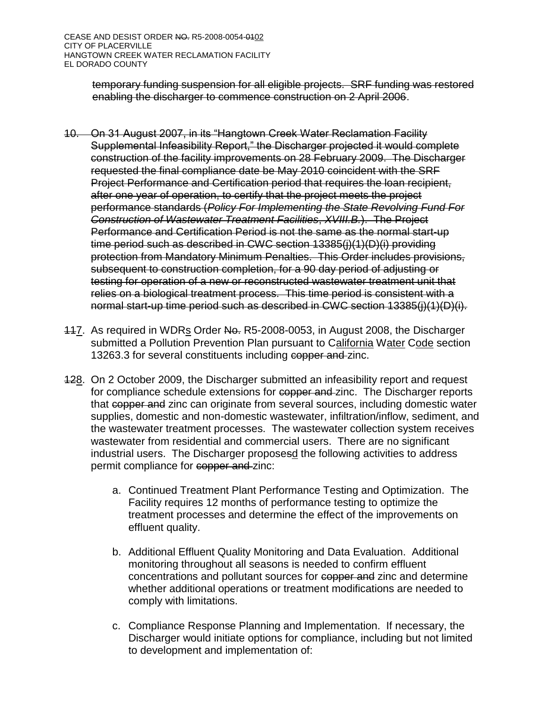temporary funding suspension for all eligible projects. SRF funding was restored enabling the discharger to commence construction on 2 April 2006.

- 10. On 31 August 2007, in its "Hangtown Creek Water Reclamation Facility Supplemental Infeasibility Report," the Discharger projected it would complete construction of the facility improvements on 28 February 2009. The Discharger requested the final compliance date be May 2010 coincident with the SRF Project Performance and Certification period that requires the loan recipient, after one year of operation, to certify that the project meets the project performance standards (*Policy For Implementing the State Revolving Fund For Construction of Wastewater Treatment Facilities*, *XVIII.B.*). The Project Performance and Certification Period is not the same as the normal start-up time period such as described in CWC section 13385(j)(1)(D)(i) providing protection from Mandatory Minimum Penalties. This Order includes provisions, subsequent to construction completion, for a 90 day period of adjusting or testing for operation of a new or reconstructed wastewater treatment unit that relies on a biological treatment process. This time period is consistent with a normal start-up time period such as described in CWC section 13385(j)(1)(D)(i).
- 117. As required in WDRs Order No. R5-2008-0053, in August 2008, the Discharger submitted a Pollution Prevention Plan pursuant to California Water Code section 13263.3 for several constituents including copper and zinc.
- 128. On 2 October 2009, the Discharger submitted an infeasibility report and request for compliance schedule extensions for copper and zinc. The Discharger reports that copper and zinc can originate from several sources, including domestic water supplies, domestic and non-domestic wastewater, infiltration/inflow, sediment, and the wastewater treatment processes. The wastewater collection system receives wastewater from residential and commercial users. There are no significant industrial users. The Discharger proposesd the following activities to address permit compliance for copper and zinc:
	- a. Continued Treatment Plant Performance Testing and Optimization. The Facility requires 12 months of performance testing to optimize the treatment processes and determine the effect of the improvements on effluent quality.
	- b. Additional Effluent Quality Monitoring and Data Evaluation. Additional monitoring throughout all seasons is needed to confirm effluent concentrations and pollutant sources for copper and zinc and determine whether additional operations or treatment modifications are needed to comply with limitations.
	- c. Compliance Response Planning and Implementation. If necessary, the Discharger would initiate options for compliance, including but not limited to development and implementation of: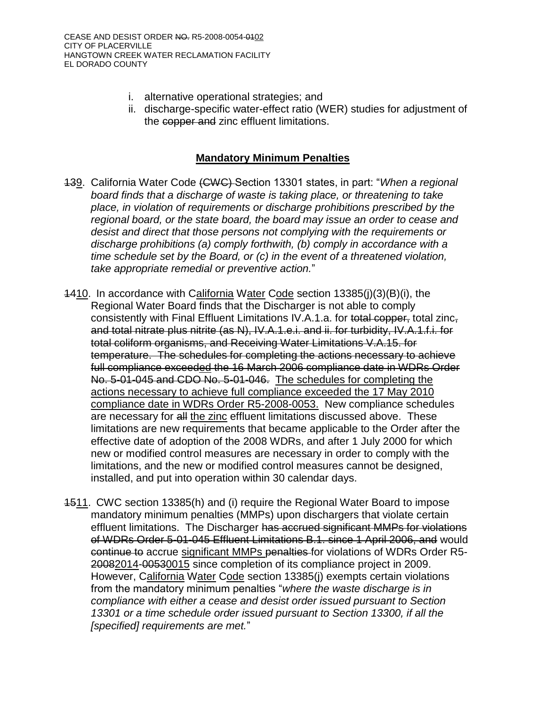- i. alternative operational strategies; and
- ii. discharge-specific water-effect ratio (WER) studies for adjustment of the copper and zinc effluent limitations.

## **Mandatory Minimum Penalties**

- 139. California Water Code (CWC) Section 13301 states, in part: "*When a regional board finds that a discharge of waste is taking place, or threatening to take place, in violation of requirements or discharge prohibitions prescribed by the regional board, or the state board, the board may issue an order to cease and desist and direct that those persons not complying with the requirements or discharge prohibitions (a) comply forthwith, (b) comply in accordance with a time schedule set by the Board, or (c) in the event of a threatened violation, take appropriate remedial or preventive action.*"
- 1410. In accordance with California Water Code section 13385(j)(3)(B)(i), the Regional Water Board finds that the Discharger is not able to comply consistently with Final Effluent Limitations IV.A.1.a. for total copper, total zinc, and total nitrate plus nitrite (as N), IV.A.1.e.i. and ii. for turbidity, IV.A.1.f.i. for total coliform organisms, and Receiving Water Limitations V.A.15. for temperature. The schedules for completing the actions necessary to achieve full compliance exceeded the 16 March 2006 compliance date in WDRs Order No. 5-01-045 and CDO No. 5-01-046. The schedules for completing the actions necessary to achieve full compliance exceeded the 17 May 2010 compliance date in WDRs Order R5-2008-0053. New compliance schedules are necessary for all the zinc effluent limitations discussed above. These limitations are new requirements that became applicable to the Order after the effective date of adoption of the 2008 WDRs, and after 1 July 2000 for which new or modified control measures are necessary in order to comply with the limitations, and the new or modified control measures cannot be designed, installed, and put into operation within 30 calendar days.
- 1511. CWC section 13385(h) and (i) require the Regional Water Board to impose mandatory minimum penalties (MMPs) upon dischargers that violate certain effluent limitations. The Discharger has accrued significant MMPs for violations of WDRs Order 5-01-045 Effluent Limitations B.1. since 1 April 2006, and would continue to accrue significant MMPs penalties for violations of WDRs Order R5- 20082014-00530015 since completion of its compliance project in 2009. However, California Water Code section 13385(j) exempts certain violations from the mandatory minimum penalties "*where the waste discharge is in compliance with either a cease and desist order issued pursuant to Section 13301 or a time schedule order issued pursuant to Section 13300, if all the [specified] requirements are met.*"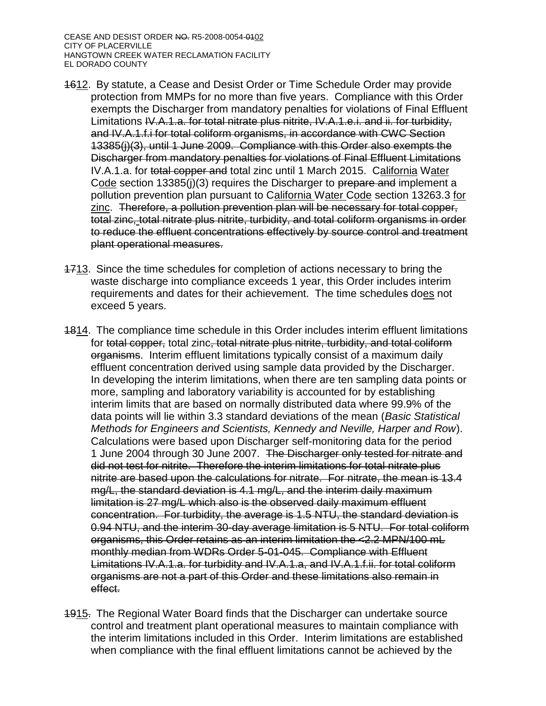- 1612. By statute, a Cease and Desist Order or Time Schedule Order may provide protection from MMPs for no more than five years. Compliance with this Order exempts the Discharger from mandatory penalties for violations of Final Effluent Limitations IV.A.1.a. for total nitrate plus nitrite, IV.A.1.e.i. and ii. for turbidity, and IV.A.1.f.i for total coliform organisms, in accordance with CWC Section 13385(j)(3), until 1 June 2009. Compliance with this Order also exempts the Discharger from mandatory penalties for violations of Final Effluent Limitations IV.A.1.a. for total copper and total zinc until 1 March 2015. California Water Code section 13385(j)(3) requires the Discharger to prepare and implement a pollution prevention plan pursuant to California Water Code section 13263.3 for zinc. Therefore, a pollution prevention plan will be necessary for total copper, total zinc, total nitrate plus nitrite, turbidity, and total coliform organisms in order to reduce the effluent concentrations effectively by source control and treatment plant operational measures.
- 1713. Since the time schedules for completion of actions necessary to bring the waste discharge into compliance exceeds 1 year, this Order includes interim requirements and dates for their achievement. The time schedules does not exceed 5 years.
- 1814. The compliance time schedule in this Order includes interim effluent limitations for total copper, total zinc, total nitrate plus nitrite, turbidity, and total coliform organisms. Interim effluent limitations typically consist of a maximum daily effluent concentration derived using sample data provided by the Discharger. In developing the interim limitations, when there are ten sampling data points or more, sampling and laboratory variability is accounted for by establishing interim limits that are based on normally distributed data where 99.9% of the data points will lie within 3.3 standard deviations of the mean (*Basic Statistical Methods for Engineers and Scientists, Kennedy and Neville, Harper and Row*). Calculations were based upon Discharger self-monitoring data for the period 1 June 2004 through 30 June 2007. The Discharger only tested for nitrate and did not test for nitrite. Therefore the interim limitations for total nitrate plus nitrite are based upon the calculations for nitrate. For nitrate, the mean is 13.4 mg/L, the standard deviation is 4.1 mg/L, and the interim daily maximum limitation is 27 mg/L which also is the observed daily maximum effluent concentration. For turbidity, the average is 1.5 NTU, the standard deviation is 0.94 NTU, and the interim 30-day average limitation is 5 NTU. For total coliform organisms, this Order retains as an interim limitation the <2.2 MPN/100 mL monthly median from WDRs Order 5-01-045. Compliance with Effluent Limitations IV.A.1.a. for turbidity and IV.A.1.a, and IV.A.1.f.ii. for total coliform organisms are not a part of this Order and these limitations also remain in effect.
- 1915. The Regional Water Board finds that the Discharger can undertake source control and treatment plant operational measures to maintain compliance with the interim limitations included in this Order. Interim limitations are established when compliance with the final effluent limitations cannot be achieved by the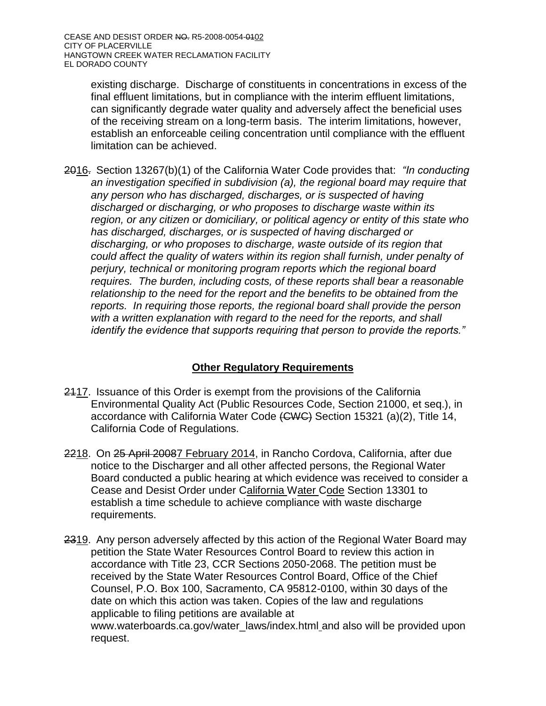existing discharge. Discharge of constituents in concentrations in excess of the final effluent limitations, but in compliance with the interim effluent limitations, can significantly degrade water quality and adversely affect the beneficial uses of the receiving stream on a long-term basis. The interim limitations, however, establish an enforceable ceiling concentration until compliance with the effluent limitation can be achieved.

2016. Section 13267(b)(1) of the California Water Code provides that: *"In conducting an investigation specified in subdivision (a), the regional board may require that any person who has discharged, discharges, or is suspected of having discharged or discharging, or who proposes to discharge waste within its region, or any citizen or domiciliary, or political agency or entity of this state who has discharged, discharges, or is suspected of having discharged or discharging, or who proposes to discharge, waste outside of its region that could affect the quality of waters within its region shall furnish, under penalty of perjury, technical or monitoring program reports which the regional board requires. The burden, including costs, of these reports shall bear a reasonable relationship to the need for the report and the benefits to be obtained from the reports. In requiring those reports, the regional board shall provide the person with a written explanation with regard to the need for the reports, and shall identify the evidence that supports requiring that person to provide the reports."*

# **Other Regulatory Requirements**

- 2417. Issuance of this Order is exempt from the provisions of the California Environmental Quality Act (Public Resources Code, Section 21000, et seq.), in accordance with California Water Code (CWC) Section 15321 (a)(2), Title 14, California Code of Regulations.
- 2218. On 25 April 20087 February 2014, in Rancho Cordova, California, after due notice to the Discharger and all other affected persons, the Regional Water Board conducted a public hearing at which evidence was received to consider a Cease and Desist Order under California Water Code Section 13301 to establish a time schedule to achieve compliance with waste discharge requirements.
- 2319. Any person adversely affected by this action of the Regional Water Board may petition the State Water Resources Control Board to review this action in accordance with Title 23, CCR Sections 2050-2068. The petition must be received by the State Water Resources Control Board, Office of the Chief Counsel, P.O. Box 100, Sacramento, CA 95812-0100, within 30 days of the date on which this action was taken. Copies of the law and regulations applicable to filing petitions are available at www.waterboards.ca.gov/water\_laws/index.html and also will be provided upon request.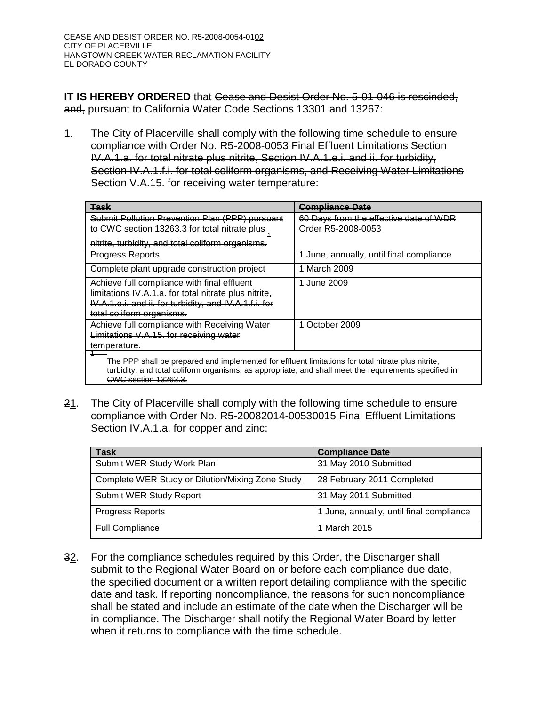**IT IS HEREBY ORDERED** that Cease and Desist Order No. 5-01-046 is rescinded, and, pursuant to California Water Code Sections 13301 and 13267:

1. The City of Placerville shall comply with the following time schedule to ensure compliance with Order No. R5-2008-0053 Final Effluent Limitations Section IV.A.1.a. for total nitrate plus nitrite, Section IV.A.1.e.i. and ii. for turbidity, Section IV.A.1.f.i. for total coliform organisms, and Receiving Water Limitations Section V.A.15. for receiving water temperature:

| <b>Task</b>                                                                                                                                                                                                                                | <b>Compliance Date</b>                                       |  |  |  |  |  |
|--------------------------------------------------------------------------------------------------------------------------------------------------------------------------------------------------------------------------------------------|--------------------------------------------------------------|--|--|--|--|--|
| Submit Pollution Prevention Plan (PPP) pursuant<br>to CWC section 13263.3 for total nitrate plus                                                                                                                                           | 60 Days from the effective date of WDR<br>Order R5-2008-0053 |  |  |  |  |  |
| nitrite, turbidity, and total coliform organisms.                                                                                                                                                                                          |                                                              |  |  |  |  |  |
| <b>Progress Reports</b>                                                                                                                                                                                                                    | 1 June, annually, until final compliance                     |  |  |  |  |  |
| Complete plant upgrade construction project                                                                                                                                                                                                | <b>March 2009</b>                                            |  |  |  |  |  |
| Achieve full compliance with final effluent<br>limitations IV.A.1.a. for total nitrate plus nitrite,<br>IV.A.1.e.i. and ii. for turbidity, and IV.A.1.f.i. for<br>total coliform organisms.                                                | <del>June 2009</del>                                         |  |  |  |  |  |
| Achieve full compliance with Receiving Water<br>Limitations V.A.15. for receiving water<br>temperature.                                                                                                                                    | October 2009                                                 |  |  |  |  |  |
| The PPP shall be prepared and implemented for effluent limitations for total nitrate plus nitrite,<br>turbidity, and total coliform organisms, as appropriate, and shall meet the requirements specified in<br><b>CWC section 13263.3.</b> |                                                              |  |  |  |  |  |

21. The City of Placerville shall comply with the following time schedule to ensure compliance with Order No. R5-20082014-00530015 Final Effluent Limitations Section IV.A.1.a. for copper and zinc:

| <b>Task</b>                                      | <b>Compliance Date</b>                   |
|--------------------------------------------------|------------------------------------------|
| Submit WER Study Work Plan                       | 31 May 2010-Submitted                    |
| Complete WER Study or Dilution/Mixing Zone Study | 28 February 2011 Completed               |
| Submit WER Study Report                          | 31 May 2011 Submitted                    |
| <b>Progress Reports</b>                          | 1 June, annually, until final compliance |
| <b>Full Compliance</b>                           | 1 March 2015                             |

32. For the compliance schedules required by this Order, the Discharger shall submit to the Regional Water Board on or before each compliance due date, the specified document or a written report detailing compliance with the specific date and task. If reporting noncompliance, the reasons for such noncompliance shall be stated and include an estimate of the date when the Discharger will be in compliance. The Discharger shall notify the Regional Water Board by letter when it returns to compliance with the time schedule.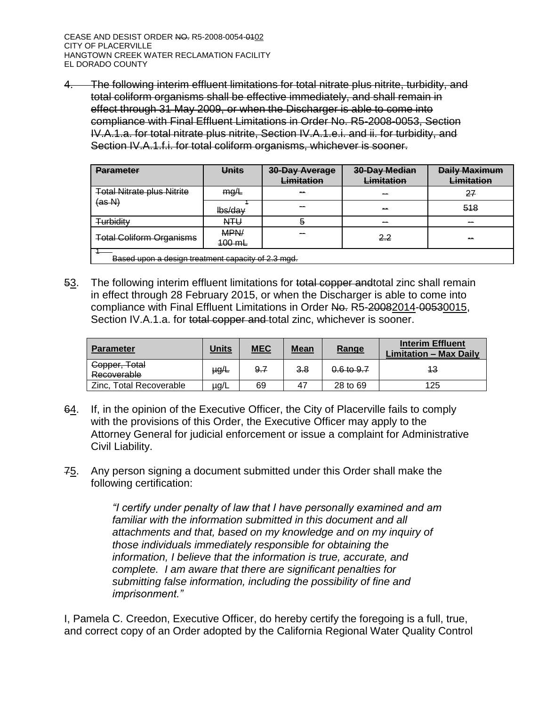4. The following interim effluent limitations for total nitrate plus nitrite, turbidity, and total coliform organisms shall be effective immediately, and shall remain in effect through 31 May 2009, or when the Discharger is able to come into compliance with Final Effluent Limitations in Order No. R5-2008-0053, Section IV.A.1.a. for total nitrate plus nitrite, Section IV.A.1.e.i. and ii. for turbidity, and Section IV.A.1.f.i. for total coliform organisms, whichever is sooner.

| <b>Parameter</b>                                   | <b>Units</b>     | 30-Day Average<br>Limitation | 30-Day Median<br>Limitation | <b>Daily Maximum</b><br>Limitation |  |  |  |
|----------------------------------------------------|------------------|------------------------------|-----------------------------|------------------------------------|--|--|--|
| <b>Total Nitrate plus Nitrite</b>                  | mg/L             | --                           | $\sim$                      | 27                                 |  |  |  |
| (as N)                                             | lbs/dav          | $\sim$                       | $\sim$                      | 518                                |  |  |  |
| Turbidity                                          | <b>NTU</b>       | ə                            | $\sim$                      | --                                 |  |  |  |
| <b>Total Coliform Organisms</b>                    | MPN/<br>$100$ mL | --                           | 2.2                         | $\sim$                             |  |  |  |
| Based upon a design treatment capacity of 2.3 mgd. |                  |                              |                             |                                    |  |  |  |

53. The following interim effluent limitations for total copper andtotal zinc shall remain in effect through 28 February 2015, or when the Discharger is able to come into compliance with Final Effluent Limitations in Order No. R5-20082014-00530015, Section IV.A.1.a. for total copper and total zinc, whichever is sooner.

| <b>Parameter</b>             | <u>Units</u> | <b>MEC</b> | Mean | Range          | <b>Interim Effluent</b><br><b>Limitation - Max Daily</b> |
|------------------------------|--------------|------------|------|----------------|----------------------------------------------------------|
| Copper, Total<br>Recoverable | µg∕L         | 9.7        | 3.8  | $0.6$ to $9.7$ | 43                                                       |
| Zinc, Total Recoverable      | $\mu$ g/L    | 69         | 47   | 28 to 69       | 125                                                      |

- 64. If, in the opinion of the Executive Officer, the City of Placerville fails to comply with the provisions of this Order, the Executive Officer may apply to the Attorney General for judicial enforcement or issue a complaint for Administrative Civil Liability.
- 75. Any person signing a document submitted under this Order shall make the following certification:

*"I certify under penalty of law that I have personally examined and am familiar with the information submitted in this document and all attachments and that, based on my knowledge and on my inquiry of those individuals immediately responsible for obtaining the information, I believe that the information is true, accurate, and complete. I am aware that there are significant penalties for submitting false information, including the possibility of fine and imprisonment."* 

I, Pamela C. Creedon, Executive Officer, do hereby certify the foregoing is a full, true, and correct copy of an Order adopted by the California Regional Water Quality Control